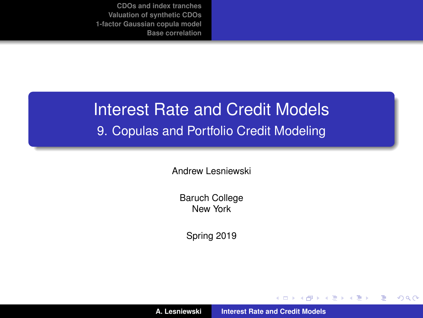# Interest Rate and Credit Models

#### 9. Copulas and Portfolio Credit Modeling

Andrew Lesniewski

Baruch College New York

Spring 2019

**A. Lesniewski [Interest Rate and Credit Models](#page-42-0)**

(ロトス個) (運) (運)

<span id="page-0-0"></span> $299$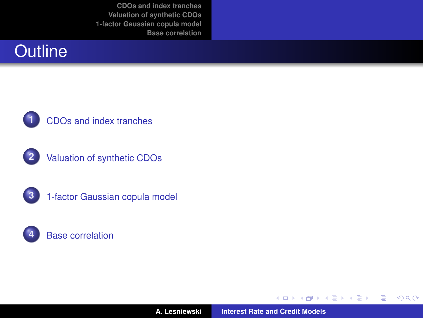## **Outline**



#### **1** [CDOs and index tranches](#page-2-0)









**A. Lesniewski [Interest Rate and Credit Models](#page-0-0)**

(ロ) (包)

→ 君をす者を

 $299$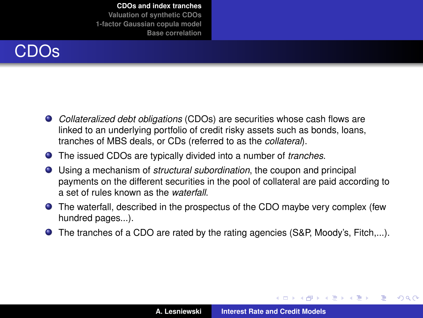# CDOs

- *Collateralized debt obligations* (CDOs) are securities whose cash flows are linked to an underlying portfolio of credit risky assets such as bonds, loans, tranches of MBS deals, or CDs (referred to as the *collateral*).
- The issued CDOs are typically divided into a number of *tranches*.
- Using a mechanism of *structural subordination*, the coupon and principal payments on the different securities in the pool of collateral are paid according to a set of rules known as the *waterfall*.
- The waterfall, described in the prospectus of the CDO maybe very complex (few hundred pages...).
- The tranches of a CDO are rated by the rating agencies (S&P, Moody's, Fitch,...).

(ロトス個) (運) (運)

<span id="page-2-0"></span> $299$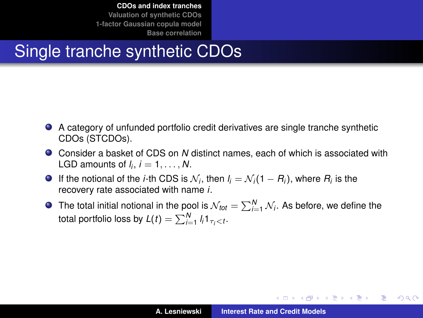# Single tranche synthetic CDOs

- A category of unfunded portfolio credit derivatives are single tranche synthetic CDOs (STCDOs).
- Consider a basket of CDS on *N* distinct names, each of which is associated with LGD amounts of  $l_i$ ,  $i = 1, \ldots, N$ .
- If the notional of the *i*-th CDS is  $\mathcal{N}_i$ , then  $l_i = \mathcal{N}_i(1 R_i)$ , where  $R_i$  is the recovery rate associated with name *i*.
- The total initial notional in the pool is  $\mathcal{N}_{\mathit{tot}} = \sum_{i=1}^{N} \mathcal{N}_i$ . As before, we define the total portfolio loss by  $L(t) = \sum_{i=1}^{N} l_i 1_{\tau_i < t}.$

イロトメ団トメミトメミト

重。  $298$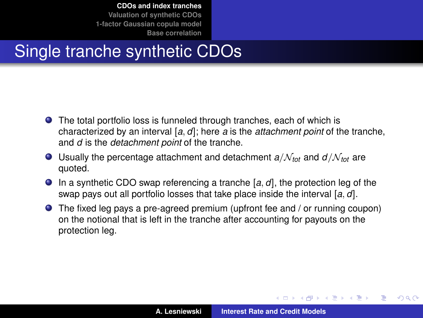# Single tranche synthetic CDOs

- The total portfolio loss is funneled through tranches, each of which is characterized by an interval [*a*, *d*]; here *a* is the *attachment point* of the tranche, and *d* is the *detachment point* of the tranche.
- $\bullet$  Usually the percentage attachment and detachment  $a/N_{tot}$  and  $d/N_{tot}$  are quoted.
- In a synthetic CDO swap referencing a tranche [*a*, *d*], the protection leg of the swap pays out all portfolio losses that take place inside the interval [*a*, *d*].
- The fixed leg pays a pre-agreed premium (upfront fee and / or running coupon) on the notional that is left in the tranche after accounting for payouts on the protection leg.

イロメ イ部メ イ君メ イ君メー

 $QQQ$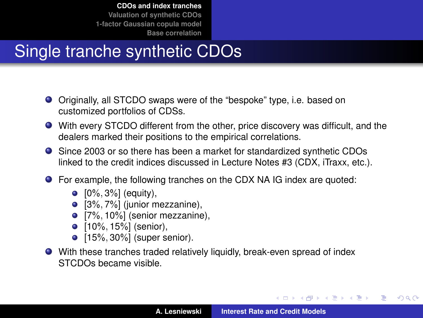# Single tranche synthetic CDOs

- Originally, all STCDO swaps were of the "bespoke" type, i.e. based on customized portfolios of CDSs.
- With every STCDO different from the other, price discovery was difficult, and the dealers marked their positions to the empirical correlations.
- Since 2003 or so there has been a market for standardized synthetic CDOs linked to the credit indices discussed in Lecture Notes #3 (CDX, iTraxx, etc.).
- For example, the following tranches on the CDX NA IG index are quoted:
	- $[0\%, 3\%]$  (equity),
	- $\bullet$  [3%, 7%] (junior mezzanine),
	- $[7\%, 10\%]$  (senior mezzanine),
	- [10%, 15%] (senior),
	- [15%, 30%] (super senior).
- With these tranches traded relatively liquidly, break-even spread of index STCDOs became visible.

イロメ イ団メ イヨメ イヨメー

÷.

 $298$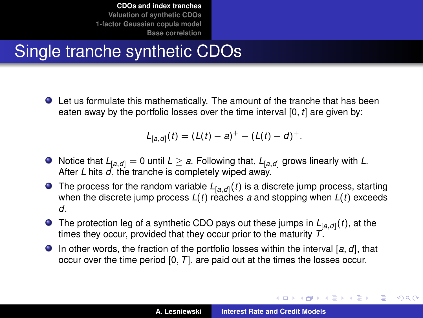# Single tranche synthetic CDOs

Let us formulate this mathematically. The amount of the tranche that has been eaten away by the portfolio losses over the time interval [0, *t*] are given by:

$$
L_{[a,d]}(t) = (L(t) - a)^+ - (L(t) - d)^+.
$$

- $\bullet$  Notice that  $L_{[a,d]} = 0$  until  $L \ge a$ . Following that,  $L_{[a,d]}$  grows linearly with L. After *L* hits *d*, the tranche is completely wiped away.
- The process for the random variable *L*[*a*,*d*] (*t*) is a discrete jump process, starting when the discrete jump process *L*(*t*) reaches *a* and stopping when *L*(*t*) exceeds *d*.
- The protection leg of a synthetic CDO pays out these jumps in *L*[*a*,*d*] (*t*), at the times they occur, provided that they occur prior to the maturity *T*.
- In other words, the fraction of the portfolio losses within the interval [*a*, *d*], that occur over the time period [0, *T*], are paid out at the times the losses occur.

K ロ ⊁ K 伊 ⊁ K 君 ⊁ K 君 ⊁ …

B

 $2Q$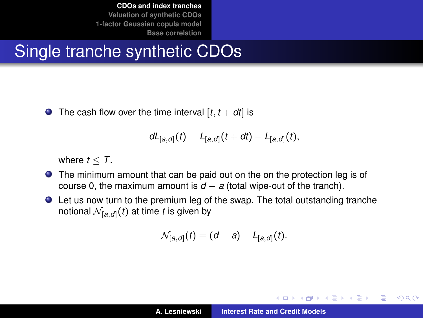# Single tranche synthetic CDOs

 $\bullet$  The cash flow over the time interval [ $t$ ,  $t + dt$ ] is

$$
dL_{[a,d]}(t) = L_{[a,d]}(t+dt) - L_{[a,d]}(t),
$$

where  $t < T$ .

- **•** The minimum amount that can be paid out on the on the protection leg is of course 0, the maximum amount is  $d - a$  (total wipe-out of the tranch).
- Let us now turn to the premium leg of the swap. The total outstanding tranche notional  $\mathcal{N}_{[a,\mathit{d}]}(t)$  at time  $t$  is given by

$$
\mathcal{N}_{[a,d]}(t) = (d-a) - L_{[a,d]}(t).
$$

イロメ イ部メ イ君メ イ君メー

Þ  $QQQ$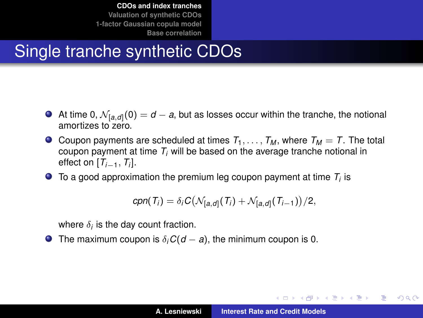# Single tranche synthetic CDOs

- At time 0,  $\mathcal{N}_{[a,d]}(0)=d-a$ , but as losses occur within the tranche, the notional amortizes to zero.
- $\bullet$  Coupon payments are scheduled at times  $T_1, \ldots, T_M$ , where  $T_M = T$ . The total coupon payment at time *T<sup>i</sup>* will be based on the average tranche notional in effect on [*Ti*−1, *T<sup>i</sup>* ].
- To a good approximation the premium leg coupon payment at time  $T_i$  is

$$
cpn(T_i) = \delta_i C \big(\mathcal{N}_{[a,d]}(T_i) + \mathcal{N}_{[a,d]}(T_{i-1})\big)/2,
$$

where  $\delta_i$  is the day count fraction.

**O** The maximum coupon is  $\delta_i C(d - a)$ , the minimum coupon is 0.

**K ロ ▶ K 御 ▶ K 重 ▶ K 重 ▶** 

Þ  $QQQ$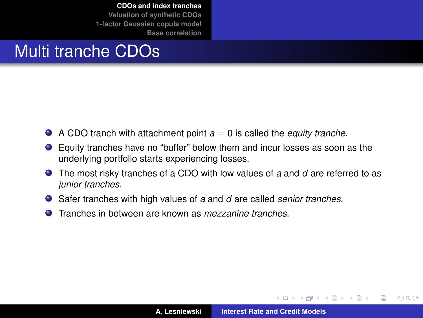## Multi tranche CDOs

- $\bullet$  A CDO tranch with attachment point  $a = 0$  is called the *equity tranche*.
- Equity tranches have no "buffer" below them and incur losses as soon as the underlying portfolio starts experiencing losses.
- The most risky tranches of a CDO with low values of *a* and *d* are referred to as *junior tranches*.
- Safer tranches with high values of *a* and *d* are called *senior tranches*.
- Tranches in between are known as *mezzanine tranches*. Ω.

イロメ イ部メ イ君メ イ君メー

Þ

 $QQ$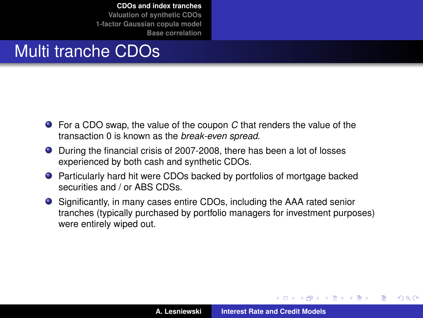## Multi tranche CDOs

- For a CDO swap, the value of the coupon *C* that renders the value of the transaction 0 is known as the *break-even spread*.
- During the financial crisis of 2007-2008, there has been a lot of losses experienced by both cash and synthetic CDOs.
- Particularly hard hit were CDOs backed by portfolios of mortgage backed securities and / or ABS CDSs.
- Significantly, in many cases entire CDOs, including the AAA rated senior tranches (typically purchased by portfolio managers for investment purposes) were entirely wiped out.

イロメ イ部メ イ君メ イ君メー

<span id="page-10-0"></span>Þ

 $QQ$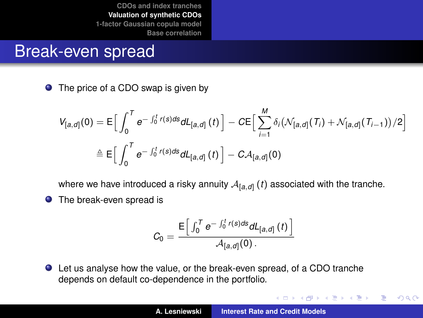#### Break-even spread

● The price of a CDO swap is given by

$$
V_{[a,d]}(0) = \mathsf{E}\Big[\int_0^T e^{-\int_0^t r(s)ds} dL_{[a,d]}(t)\Big] - C \mathsf{E}\Big[\sum_{i=1}^M \delta_i \big(\mathcal{N}_{[a,d]}(\mathcal{T}_i) + \mathcal{N}_{[a,d]}(\mathcal{T}_{i-1})\big)/2\Big]
$$

$$
\triangleq \mathsf{E}\Big[\int_0^T e^{-\int_0^t r(s)ds} dL_{[a,d]}(t)\Big] - C \mathcal{A}_{[a,d]}(0)
$$

where we have introduced a risky annuity  $\mathcal{A}_{[a,\textit{d}]} \left( t \right)$  associated with the tranche.

**•** The break-even spread is

$$
C_0 = \frac{\mathsf{E}\left[\int_0^T e^{-\int_0^t r(s)ds} dL_{[a,d]}(t)\right]}{A_{[a,d]}(0)}.
$$

Let us analyse how the value, or the break-even spread, of a CDO tranche depends on default co-dependence in the portfolio.

イロメ イ団メ イヨメ イヨメー

<span id="page-11-0"></span> $299$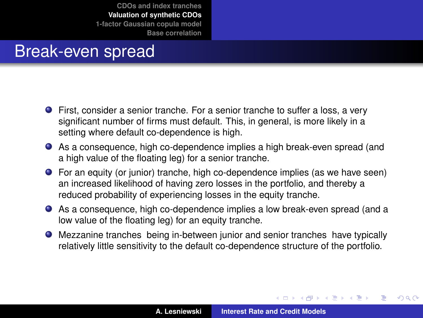#### Break-even spread

- **•** First, consider a senior tranche. For a senior tranche to suffer a loss, a very significant number of firms must default. This, in general, is more likely in a setting where default co-dependence is high.
- As a consequence, high co-dependence implies a high break-even spread (and a high value of the floating leg) for a senior tranche.
- For an equity (or junior) tranche, high co-dependence implies (as we have seen) an increased likelihood of having zero losses in the portfolio, and thereby a reduced probability of experiencing losses in the equity tranche.
- As a consequence, high co-dependence implies a low break-even spread (and a low value of the floating leg) for an equity tranche.
- Mezzanine tranches being in-between junior and senior tranches have typically relatively little sensitivity to the default co-dependence structure of the portfolio.

(ロトス個) (運) (運)

 $299$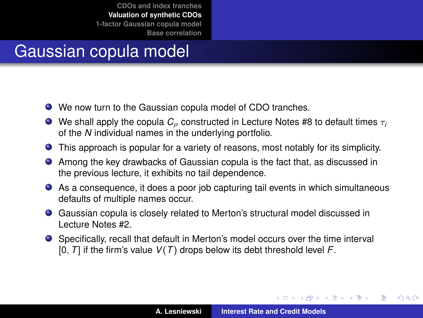# Gaussian copula model

- We now turn to the Gaussian copula model of CDO tranches.
- **O** We shall apply the copula  $C_\rho$  constructed in Lecture Notes #8 to default times  $\tau_i$ of the *N* individual names in the underlying portfolio.
- This approach is popular for a variety of reasons, most notably for its simplicity.
- Among the key drawbacks of Gaussian copula is the fact that, as discussed in the previous lecture, it exhibits no tail dependence.
- As a consequence, it does a poor job capturing tail events in which simultaneous defaults of multiple names occur.
- Gaussian copula is closely related to Merton's structural model discussed in Lecture Notes #2.
- Specifically, recall that default in Merton's model occurs over the time interval [0, *T*] if the firm's value *V*(*T*) drops below its debt threshold level *F*.

イロメ イ部メ イヨメ イヨメー

 $299$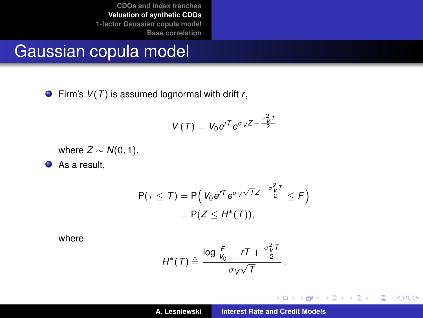#### Gaussian copula model

Firm's *V*(*T*) is assumed lognormal with drift *r*,

$$
V(T) = V_0 e^{rT} e^{\sigma_V Z - \frac{\sigma_V^2 T}{2}}
$$

where  $Z \sim N(0, 1)$ .

As a result,

$$
P(\tau \leq T) = P\left(V_0 e^{rT} e^{\sigma_V \sqrt{T}Z - \frac{\sigma_V^2 T}{2}} \leq F\right)
$$
  
= P(Z \leq H^\*(T)),

where

$$
H^*(T) \triangleq \frac{\log \frac{F}{V_0} - rT + \frac{\sigma_V^2 T}{2}}{\sigma_V \sqrt{T}}.
$$

イロメ イ部メ イヨメ イヨメー

重

 $299$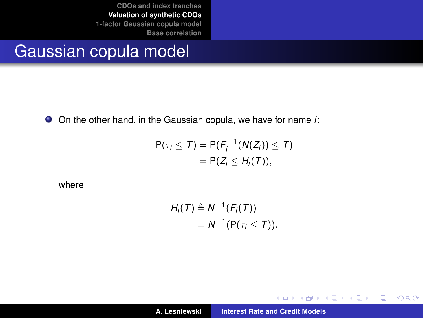## Gaussian copula model

On the other hand, in the Gaussian copula, we have for name *i*:

$$
P(\tau_i \leq T) = P(F_i^{-1}(N(Z_i)) \leq T)
$$
  
= P(Z\_i \leq H\_i(T)),

where

$$
H_i(T) \triangleq N^{-1}(F_i(T))
$$
  
=  $N^{-1}(P(\tau_i \leq T)).$ 

イロトス 伊 トス ヨ トス ヨ トー

重

 $299$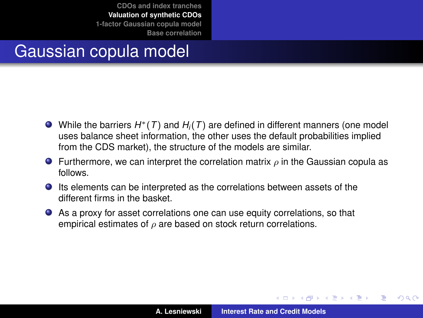## Gaussian copula model

- While the barriers *H*∗(*T*) and *H<sup>i</sup>* (*T*) are defined in different manners (one model uses balance sheet information, the other uses the default probabilities implied from the CDS market), the structure of the models are similar.
- **Furthermore, we can interpret the correlation matrix**  $\rho$  **in the Gaussian copula as** follows.
- Its elements can be interpreted as the correlations between assets of the different firms in the basket.
- As a proxy for asset correlations one can use equity correlations, so that empirical estimates of  $\rho$  are based on stock return correlations.

 $\left\{ \begin{array}{ccc} 1 & 0 & 0 \\ 0 & 1 & 0 \end{array} \right.$ 

Þ

 $QQ$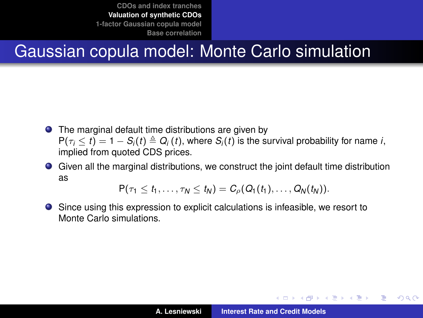# Gaussian copula model: Monte Carlo simulation

- The marginal default time distributions are given by  $P(\tau_i \leq t) = 1 - S_i(t) \triangleq Q_i(t)$ , where  $S_i(t)$  is the survival probability for name *i*, implied from quoted CDS prices.
- Given all the marginal distributions, we construct the joint default time distribution as

 $P(\tau_1 \leq t_1, \ldots, \tau_N \leq t_N) = C_o(Q_1(t_1), \ldots, Q_N(t_N)).$ 

Since using this expression to explicit calculations is infeasible, we resort to Monte Carlo simulations.

イロメ イ団メ イヨメ イヨメー

÷.

<span id="page-17-0"></span> $QQ$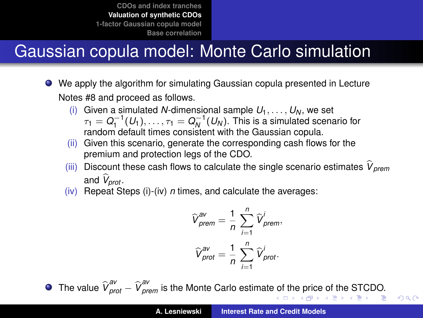# Gaussian copula model: Monte Carlo simulation

- We apply the algorithm for simulating Gaussian copula presented in Lecture Notes #8 and proceed as follows.
	- (i) Given a simulated *N*-dimensional sample  $U_1, \ldots, U_N$ , we set  $\tau_1 = Q_1^{-1}(U_1), \ldots, \tau_1 = Q_N^{-1}(U_N).$  This is a simulated scenario for  $X_1 = \alpha_1 \cdot (0_1), \ldots, Y_1 = \alpha_N \cdot (0_N).$  This is a simulated set
	- (ii) Given this scenario, generate the corresponding cash flows for the premium and protection legs of the CDO.
	- (iii) Discount these cash flows to calculate the single scenario estimates  $\hat{V}_{nrem}$ and *V<sub>prot</sub>*.
	- (iv) Repeat Steps (i)-(iv) *n* times, and calculate the averages:

$$
\widehat{V}_{\text{prem}}^{\text{av}} = \frac{1}{n} \sum_{i=1}^{n} \widehat{V}_{\text{prem}}^{i},
$$

$$
\widehat{V}_{\text{prot}}^{\text{av}} = \frac{1}{n} \sum_{i=1}^{n} \widehat{V}_{\text{prot}}^{i}.
$$

Thevalu[e](#page-19-0)  $\widehat{V}^{\text{av}}_{\text{prot}} - \widehat{V}^{\text{av}}_{\text{prem}}$  is the Monte Carlo estimat[e of](#page-17-0) [the](#page-19-0) [pric](#page-18-0)e [o](#page-10-0)[f](#page-11-0) [t](#page-19-0)[he](#page-20-0) [S](#page-11-0)[T](#page-19-0)[C](#page-20-0)[DO](#page-0-0)[.](#page-42-0)

<span id="page-18-0"></span> $AC$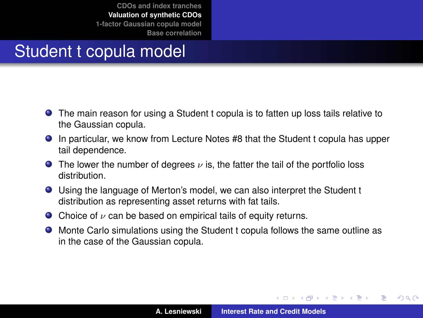## Student t copula model

- The main reason for using a Student t copula is to fatten up loss tails relative to the Gaussian copula.
- In particular, we know from Lecture Notes #8 that the Student t copula has upper tail dependence.
- **The lower the number of degrees**  $\nu$  is, the fatter the tail of the portfolio loss distribution.
- Using the language of Merton's model, we can also interpret the Student t distribution as representing asset returns with fat tails.
- $\bullet$  Choice of  $\nu$  can be based on empirical tails of equity returns.
- Monte Carlo simulations using the Student t copula follows the same outline as in the case of the Gaussian copula.

(ロトス個) (運) (運)

<span id="page-19-0"></span> $299$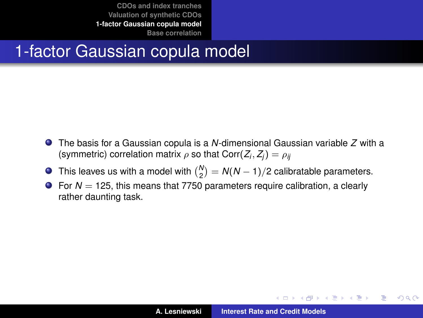### 1-factor Gaussian copula model

- The basis for a Gaussian copula is a *N*-dimensional Gaussian variable *Z* with a (symmetric) correlation matrix  $\rho$  so that  $\text{Corr}(Z_i, Z_j) = \rho_{ij}$
- This leaves us with a model with  $\binom{N}{2} = N(N-1)/2$  calibratable parameters.
- $\bullet$  For  $N = 125$ , this means that 7750 parameters require calibration, a clearly rather daunting task.

イロメ イ部メ イ君メ イ君メー

<span id="page-20-0"></span>重  $2Q$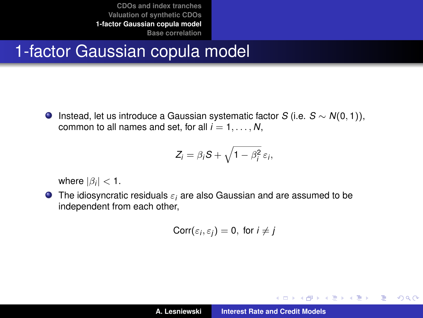## 1-factor Gaussian copula model

Instead, let us introduce a Gaussian systematic factor *S* (i.e. *S* ∼ *N*(0, 1)), common to all names and set, for all  $i = 1, \ldots, N$ ,

$$
Z_i = \beta_i S + \sqrt{1 - \beta_i^2} \, \varepsilon_i,
$$

where  $|\beta_i|$   $<$  1.

The idiosyncratic residuals ε*<sup>i</sup>* are also Gaussian and are assumed to be independent from each other,

$$
Corr(\varepsilon_i, \varepsilon_j) = 0, \text{ for } i \neq j
$$

イロメ イ部メ イヨメ イヨメー

 $299$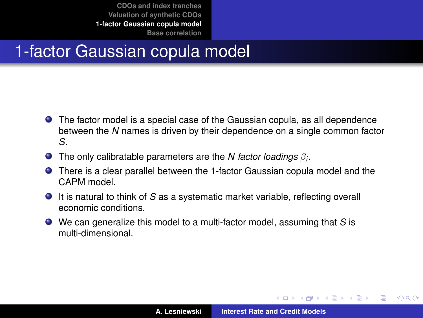## 1-factor Gaussian copula model

- The factor model is a special case of the Gaussian copula, as all dependence between the *N* names is driven by their dependence on a single common factor *S*.
- The only calibratable parameters are the *N factor loadings* β*<sup>i</sup>* .
- There is a clear parallel between the 1-factor Gaussian copula model and the CAPM model.
- It is natural to think of *S* as a systematic market variable, reflecting overall economic conditions.
- We can generalize this model to a multi-factor model, assuming that *S* is multi-dimensional.

イロト イ押 トイラ トイラト

Þ

 $298$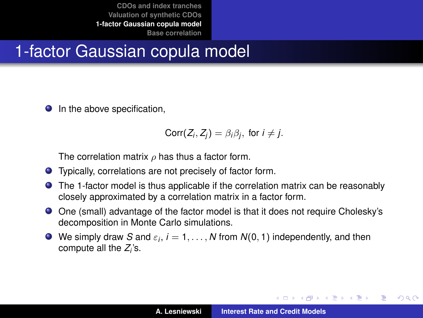## 1-factor Gaussian copula model

**In the above specification.** 

$$
Corr(Z_i, Z_j) = \beta_i \beta_j, \text{ for } i \neq j.
$$

The correlation matrix  $\rho$  has thus a factor form.

- Typically, correlations are not precisely of factor form.
- The 1-factor model is thus applicable if the correlation matrix can be reasonably closely approximated by a correlation matrix in a factor form.
- One (small) advantage of the factor model is that it does not require Cholesky's decomposition in Monte Carlo simulations.
- We simply draw  $S$  and  $\varepsilon_i$ ,  $i=1,\ldots,N$  from  $N(0,1)$  independently, and then compute all the *Z<sub>i</sub>*'s.

イロメ イ部メ イ君メ イ君メー

 $299$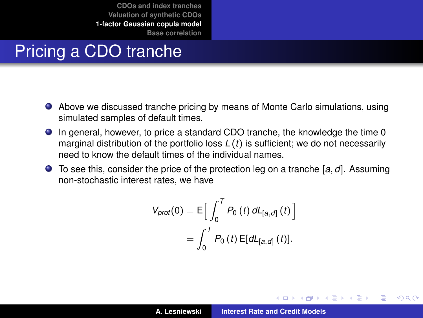# Pricing a CDO tranche

- Above we discussed tranche pricing by means of Monte Carlo simulations, using simulated samples of default times.
- In general, however, to price a standard CDO tranche, the knowledge the time 0 marginal distribution of the portfolio loss *L* (*t*) is sufficient; we do not necessarily need to know the default times of the individual names.
- To see this, consider the price of the protection leg on a tranche [*a*, *d*]. Assuming non-stochastic interest rates, we have

$$
V_{prot}(0) = E \Big[ \int_0^T P_0(t) \, dL_{[a,d]}(t) \Big] = \int_0^T P_0(t) E[dL_{[a,d]}(t)].
$$

4 ロ ト 4 何 ト 4 ラ ト 4 ラ ト

Þ

 $QQ$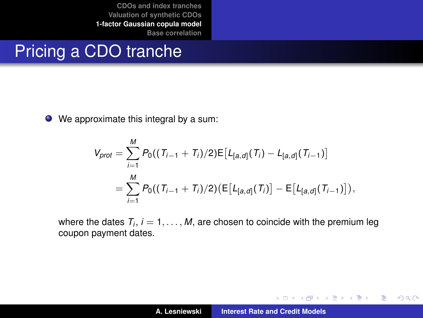## Pricing a CDO tranche

● We approximate this integral by a sum:

$$
V_{prot} = \sum_{i=1}^{M} P_0((T_{i-1} + T_i)/2) \mathbb{E}[L_{[a,d]}(T_i) - L_{[a,d]}(T_{i-1})]
$$
  
= 
$$
\sum_{i=1}^{M} P_0((T_{i-1} + T_i)/2) (\mathbb{E}[L_{[a,d]}(T_i)] - \mathbb{E}[L_{[a,d]}(T_{i-1})]),
$$

where the dates  $\,_{i},\,i=1,\ldots,M,$  are chosen to coincide with the premium leg coupon payment dates.

イロメ イ部メ イヨメ イヨメー

 $299$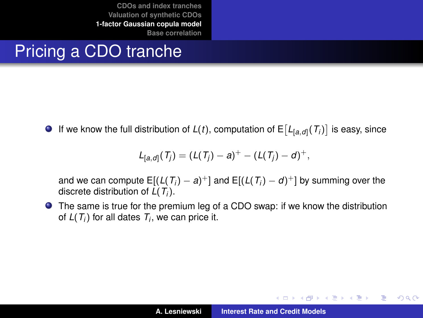# Pricing a CDO tranche

If we know the full distribution of  $L(t)$ , computation of  $\mathsf{E}\big[L_{[a,d]}(T_i)\big]$  is easy, since

$$
L_{[a,d]}(T_j) = (L(T_j) - a)^+ - (L(T_j) - d)^+,
$$

and we can compute  $\mathsf{E}[(\mathsf{L}(\mathsf{T}_i) - a)^+]$  and  $\mathsf{E}[(\mathsf{L}(\mathsf{T}_i) - d)^+]$  by summing over the discrete distribution of *L*(*T<sup>i</sup>* ).

The same is true for the premium leg of a CDO swap: if we know the distribution of  $L(T_i)$  for all dates  $T_i$ , we can price it.

K ロ ⊁ K 伊 ⊁ K 君 ⊁ K 君 ⊁ …

重。  $2Q$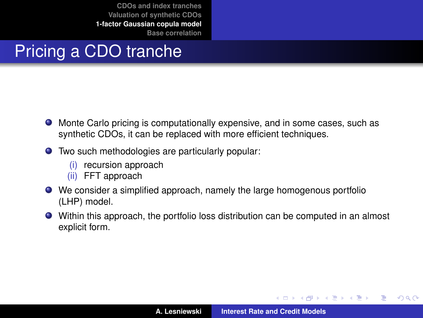# Pricing a CDO tranche

- Monte Carlo pricing is computationally expensive, and in some cases, such as synthetic CDOs, it can be replaced with more efficient techniques.
- Two such methodologies are particularly popular:
	- (i) recursion approach
	- (ii) FFT approach
- We consider a simplified approach, namely the large homogenous portfolio (LHP) model.
- Within this approach, the portfolio loss distribution can be computed in an almost explicit form.

イロメ イ部メ イ君メ イ君メー

 $299$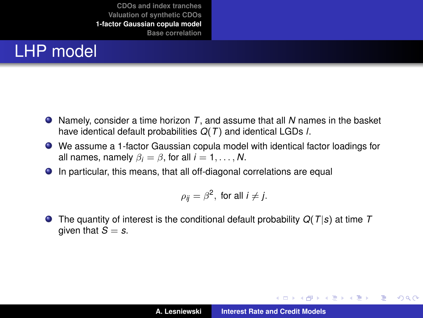# LHP model

- Namely, consider a time horizon *T*, and assume that all *N* names in the basket have identical default probabilities *Q*(*T*) and identical LGDs *l*.
- We assume a 1-factor Gaussian copula model with identical factor loadings for all names, namely  $\beta_i = \beta$ , for all  $i = 1, \ldots, N$ .
- In particular, this means, that all off-diagonal correlations are equal

$$
\rho_{ij}=\beta^2, \text{ for all } i\neq j.
$$

**O** The quantity of interest is the conditional default probability  $Q(T|s)$  at time T given that  $S = s$ .

イロメ イ部メ イ君メ イ君メー

÷.  $298$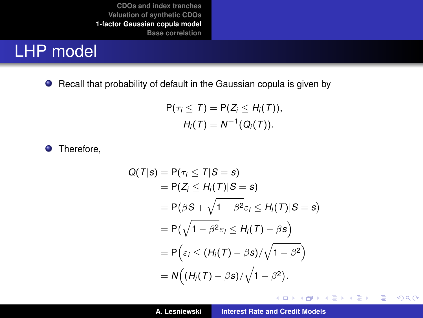#### LHP model

● Recall that probability of default in the Gaussian copula is given by

$$
P(\tau_i \leq T) = P(Z_i \leq H_i(T)),
$$
  

$$
H_i(T) = N^{-1}(Q_i(T)).
$$

**O** Therefore,

$$
Q(T|s) = P(\tau_i \leq T|S = s)
$$
  
= P(Z<sub>i</sub> \leq H<sub>i</sub>(T)|S = s)  
= P(\beta S + \sqrt{1 - \beta^2 \varepsilon\_i} \leq H<sub>i</sub>(T)|S = s)  
= P(\sqrt{1 - \beta^2 \varepsilon\_i} \leq H<sub>i</sub>(T) - \beta s)  
= P(\varepsilon\_i \leq (H<sub>i</sub>(T) - \beta s)/\sqrt{1 - \beta^2})  
= N((H<sub>i</sub>(T) - \beta s)/\sqrt{1 - \beta^2}).

イロメ イ部メ イ君メ イ君メー

重。  $298$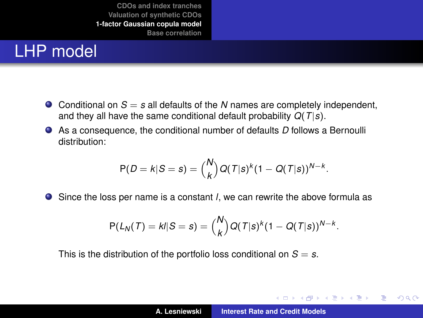## LHP model

- $\bullet$  Conditional on  $S = s$  all defaults of the N names are completely independent, and they all have the same conditional default probability *Q*(*T*|*s*).
- As a consequence, the conditional number of defaults *D* follows a Bernoulli distribution:

$$
P(D = k|S = s) = {N \choose k} Q(T|s)^k (1 - Q(T|s))^{N-k}.
$$

Since the loss per name is a constant *l*, we can rewrite the above formula as

$$
P(L_N(T) = k/|S = s) = {N \choose k} Q(T|s)^k (1 - Q(T|s))^{N-k}.
$$

This is the distribution of the portfolio loss conditional on  $S = s$ .

イロメ イ部メ イ君メ イ君メー

 $299$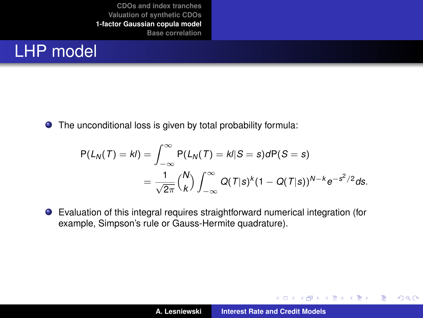## LHP model

The unconditional loss is given by total probability formula:

$$
P(L_N(T) = kl) = \int_{-\infty}^{\infty} P(L_N(T) = kl|S = s)dP(S = s)
$$
  
= 
$$
\frac{1}{\sqrt{2\pi}} {N \choose k} \int_{-\infty}^{\infty} Q(T|s)^k (1 - Q(T|s))^{N-k} e^{-s^2/2} ds.
$$

Evaluation of this integral requires straightforward numerical integration (for example, Simpson's rule or Gauss-Hermite quadrature).

イロトメ 御 トメ ミトメ ミト

 $299$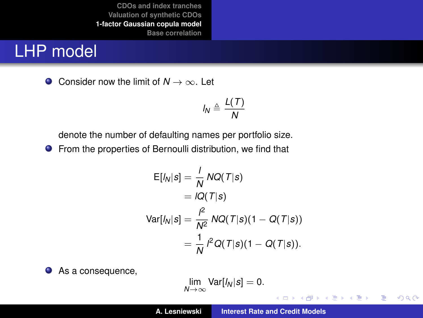### LHP model

Consider now the limit of *N* → ∞. Let

$$
I_N \triangleq \frac{L(T)}{N}
$$

denote the number of defaulting names per portfolio size.

**•** From the properties of Bernoulli distribution, we find that

$$
E[I_N|s] = \frac{1}{N} NQ(T|s)
$$
  
=  $IQ(T|s)$   

$$
Var[I_N|s] = \frac{I^2}{N^2} NQ(T|s)(1 - Q(T|s))
$$
  
=  $\frac{1}{N} I^2 Q(T|s)(1 - Q(T|s)).$ 

● As a consequence,

$$
\lim_{N\to\infty} \text{Var}[l_N|s] = 0.
$$

**A. Lesniewski [Interest Rate and Credit Models](#page-0-0)**

K ロ ▶ K 御 ▶ K 唐 ▶ K 唐 ▶ .

 $299$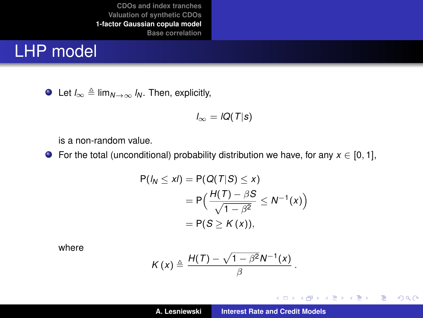#### LHP model

 $\bullet$  Let  $I_{\infty}$  ≜ lim<sub>*N*→∞</sub>  $I_N$ . Then, explicitly,

$$
I_{\infty} = IQ(T|s)
$$

is a non-random value.

**■** For the total (unconditional) probability distribution we have, for any  $x \in [0, 1]$ ,

$$
P(I_N \le xI) = P(Q(T|S) \le x)
$$
  
= 
$$
P\left(\frac{H(T) - \beta S}{\sqrt{1 - \beta^2}} \le N^{-1}(x)\right)
$$
  
= 
$$
P(S \ge K(x)),
$$

where

$$
K(x) \triangleq \frac{H(T) - \sqrt{1 - \beta^2} N^{-1}(x)}{\beta}
$$

.

イロトス 御 トス 言 トス 言 トー

重

 $299$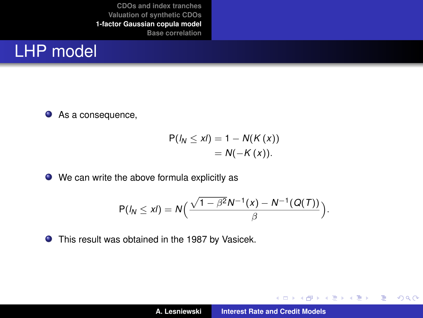#### LHP model

● As a consequence,

$$
P(I_N \leq xI) = 1 - N(K(x))
$$
  
= N(-K(x)).

● We can write the above formula explicitly as

$$
P(I_N \leq xI) = N\Big(\frac{\sqrt{1-\beta^2}N^{-1}(x)-N^{-1}(Q(T))}{\beta}\Big).
$$

This result was obtained in the 1987 by Vasicek.

イロメ イ部メ イ君メ イ君メー

 $299$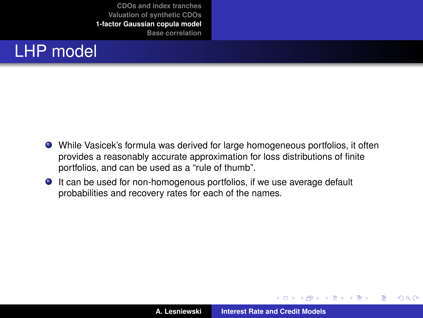## LHP model

- While Vasicek's formula was derived for large homogeneous portfolios, it often provides a reasonably accurate approximation for loss distributions of finite portfolios, and can be used as a "rule of thumb".
- It can be used for non-homogenous portfolios, if we use average default probabilities and recovery rates for each of the names.

(ロトス個) (運) (運)

 $299$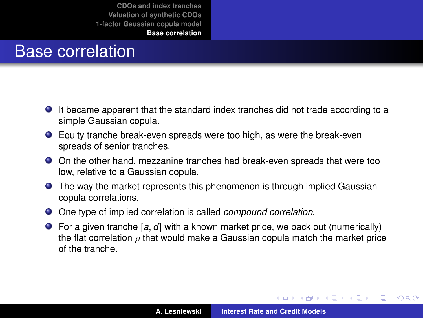### Base correlation

- It became apparent that the standard index tranches did not trade according to a simple Gaussian copula.
- Equity tranche break-even spreads were too high, as were the break-even spreads of senior tranches.
- On the other hand, mezzanine tranches had break-even spreads that were too low, relative to a Gaussian copula.
- **•** The way the market represents this phenomenon is through implied Gaussian copula correlations.
- One type of implied correlation is called *compound correlation*.
- For a given tranche [*a*, *d*] with a known market price, we back out (numerically) the flat correlation  $\rho$  that would make a Gaussian copula match the market price of the tranche.

イロメ イ部メ イヨメ イヨメー

<span id="page-36-0"></span> $299$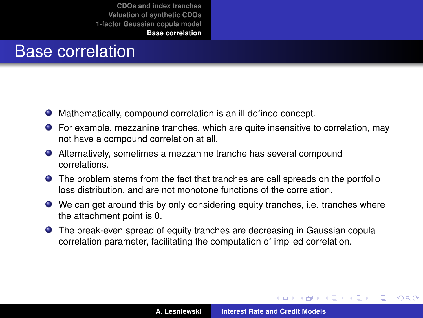#### Base correlation

- Mathematically, compound correlation is an ill defined concept.
- For example, mezzanine tranches, which are quite insensitive to correlation, may not have a compound correlation at all.
- Alternatively, sometimes a mezzanine tranche has several compound correlations.
- The problem stems from the fact that tranches are call spreads on the portfolio loss distribution, and are not monotone functions of the correlation.
- We can get around this by only considering equity tranches, i.e. tranches where the attachment point is 0.
- The break-even spread of equity tranches are decreasing in Gaussian copula correlation parameter, facilitating the computation of implied correlation.

イロメ イ部メ イ君メ イ君メー

 $QQ$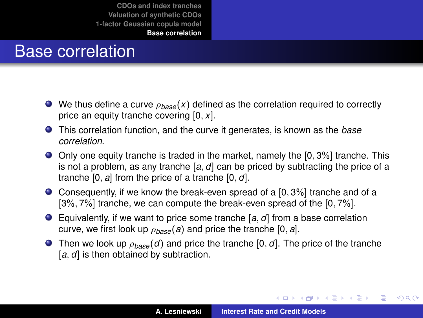#### Base correlation

- We thus define a curve ρ*base*(*x*) defined as the correlation required to correctly price an equity tranche covering [0, *x*].
- This correlation function, and the curve it generates, is known as the *base correlation*.
- $\bullet$  Only one equity tranche is traded in the market, namely the  $[0, 3\%]$  tranche. This is not a problem, as any tranche [*a*, *d*] can be priced by subtracting the price of a tranche [0, *a*] from the price of a tranche [0, *d*].
- $\bullet$  Consequently, if we know the break-even spread of a [0, 3%] tranche and of a [3%, 7%] tranche, we can compute the break-even spread of the [0, 7%].
- Equivalently, if we want to price some tranche [*a*, *d*] from a base correlation curve, we first look up  $\rho_{base}(a)$  and price the tranche [0, *a*].
- **Then we look up**  $\rho_{base}(d)$  and price the tranche [0, *d*]. The price of the tranche [a, d] is then obtained by subtraction.

イロメ イ団メ イヨメ イヨメー

÷.

 $298$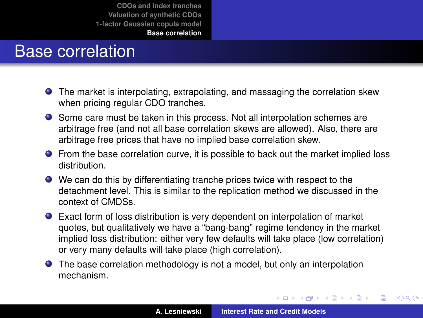## Base correlation

- The market is interpolating, extrapolating, and massaging the correlation skew when pricing regular CDO tranches.
- Some care must be taken in this process. Not all interpolation schemes are arbitrage free (and not all base correlation skews are allowed). Also, there are arbitrage free prices that have no implied base correlation skew.
- From the base correlation curve, it is possible to back out the market implied loss distribution.
- We can do this by differentiating tranche prices twice with respect to the detachment level. This is similar to the replication method we discussed in the context of CMDSs.
- Exact form of loss distribution is very dependent on interpolation of market quotes, but qualitatively we have a "bang-bang" regime tendency in the market implied loss distribution: either very few defaults will take place (low correlation) or very many defaults will take place (high correlation).
- The base correlation methodology is not a model, but only an interpolation mechanism.

イロメ イ部メ イ君メ イ君メー

 $299$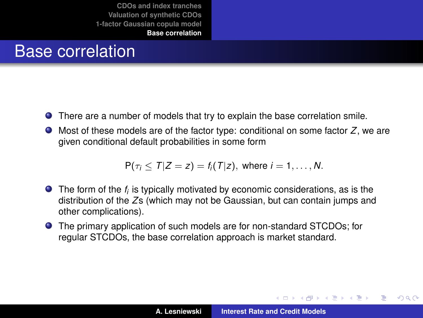## Base correlation

- There are a number of models that try to explain the base correlation smile.
- Most of these models are of the factor type: conditional on some factor *Z*, we are given conditional default probabilities in some form

$$
P(\tau_i \leq T | Z = z) = f_i(T | z), \text{ where } i = 1, \ldots, N.
$$

- The form of the  $f_i$  is typically motivated by economic considerations, as is the distribution of the *Z*s (which may not be Gaussian, but can contain jumps and other complications).
- The primary application of such models are for non-standard STCDOs; for regular STCDOs, the base correlation approach is market standard.

 $\left\{ \begin{array}{ccc} 1 & 0 & 0 \\ 0 & 1 & 0 \end{array} \right.$ 

Þ

 $QQ$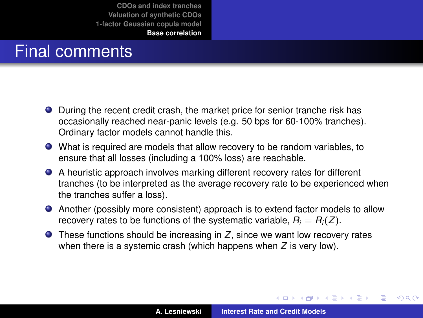#### Final comments

- During the recent credit crash, the market price for senior tranche risk has occasionally reached near-panic levels (e.g. 50 bps for 60-100% tranches). Ordinary factor models cannot handle this.
- What is required are models that allow recovery to be random variables, to ensure that all losses (including a 100% loss) are reachable.
- A heuristic approach involves marking different recovery rates for different tranches (to be interpreted as the average recovery rate to be experienced when the tranches suffer a loss).
- Another (possibly more consistent) approach is to extend factor models to allow recovery rates to be functions of the systematic variable,  $R_i = R_i(Z)$ .
- These functions should be increasing in *Z*, since we want low recovery rates when there is a systemic crash (which happens when *Z* is very low).

(ロトス個) (運) (運)

 $299$